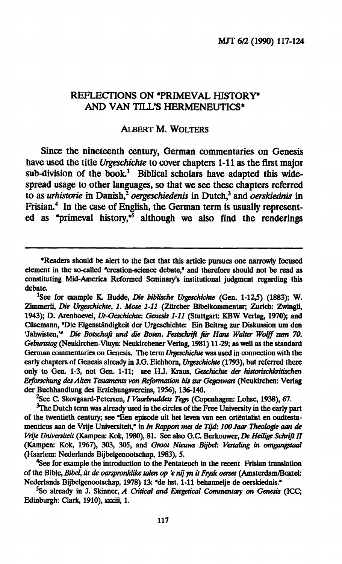## **REFLECTIONS ON "PRIMEVAL HISTORY" AND VAN TILL'S HERMENEUTICS\***

## ALBERT M. WOLTERS

**Since the nineteenth century, German commentaries on Genesis have used the title** *Urgeschichte* **to cover chapters 1-11 as the first major sub-division of the book.<sup>1</sup> Biblical scholars have adapted this widespread usage to other languages, so that we see these chapters referred**  to as *urhistorie* in Danish,<sup>2</sup>  *oergeschiedenis* **in Dutch,<sup>3</sup> and** *oerskiednis* in **Frisian.<sup>4</sup> In the case of English, the German term is usually represented as "primeval history,"<sup>5</sup> although we also find the renderings** 

<sup>2</sup>See C. Skovgaard-Petersen, *I Vaarbruddets Tegn* (Copenhagen: Lohse, 1938), 67.

 $<sup>3</sup>$ The Dutch term was already used in the circles of the Free University in the early part</sup> of the twentieth century; see \*Een episode uit het leven van een orientalist en oudtesta**menticus aan de Vrije Universiteit," in** *In Rapport met de Tijd: lOOJaar Theologie aan de Vrije Universiteit* (Kampen: Kok, 1980), 81. See also G.C. Berkouwer, *De Heilige Schrift II*  **(Kampen: Kok, 1967), 303, 305, and** *Groot Nieuws Bijbel: Vertaling in omgangstaal*  (Haarlem: Nederlands Bijbelgenootschap, 1983), 5.

<sup>4</sup>See for example the introduction to the Pentateuch in the recent Frisian translation **of the Bible,** *Bibel, ut de oarspronklike talen op 'e nijyn it Frysk omet* **(Amsterdam/Boxtel:**  Nederlands Bijbelgenootschap, 1978) 13: "de hst. 1-11 behannelje de oerskiednis."

**5 So already in J. Skinner,** *A Critical and Exegetical Commentary on Genesis* **(ICC;**  Edinburgh: Clark, 1910), xxxiii, 1.

<sup>•</sup>Readers should be alert to the fact that this article pursues one narrowly focused element in the so-called "creation-science debate," and therefore should not be read as constituting Mid-America Reformed Seminary's institutional judgment regarding this debate.

<sup>&</sup>lt;sup>1</sup>See for example K. Budde, *Die biblische Urgeschichte* (Gen. 1-12,5) (1883); W. Zimmerli, *Die Urgeschichte, 1. Mose 1-11* (Zürcher Bibelkommentar; Zurich: Zwingli, 1943); D. Arenhoevel, *Ur-Geschichte: Genesis 1-11* (Stuttgart: KBW Verlag, 1970); and Cüsemann, "Die Eigenständigkeit der Urgeschichte: Ein Beitrag zur Diskussion um den **'Jahwisten,'"** *Die Botschaft und die Boten. Festschrift für Hans Walter Wolff zum 70. Geburtstag* (Neukirchen-Vluyn: Neukirchener Verlag, 1981) 11-29; as well as the standard German commentaries on Genesis. The term *Urgeschichte* was used in connection with the early chapters of Genesis already in J.G. Eichhorn, *Urgeschichte* (1793), but referred there only to Gen. 1-3, not Gen. 1-11; see HJ. Kraus, *Geschichte der historischkritischen Erforschung des Alten Testaments von Reformation bis zur Gegenwart* **(Neukirchen: Verlag**  der Buchhandlung des Erziehungsvereins, 1956), 136-140.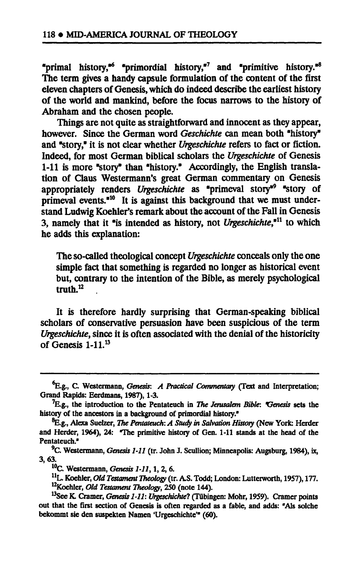**"primal history,"<sup>6</sup> "primordial history,"<sup>7</sup> and "primitive history."<sup>8</sup> The term gives a handy capsule formulation of the content of the first eleven chapters of Genesis, which do indeed describe the earliest history of the world and mankind, before the focus narrows to the history of Abraham and the chosen people.** 

**Things are not quite as straightforward and innocent as they appear, however. Since the German word** *Geschichte* **can mean both "history" and "story," it is not clear whether** *Urgeschichte* **refers to fact or fiction. Indeed, for most German biblical scholars the** *Urgeschichte* **of Genesis 1-11 is more "story" than "history." Accordingly, the English translation of Claus Westermann's great German commentary on Genesis appropriately renders** *Urgeschichte* **as "primeval story"<sup>9</sup> "story of primeval events."<sup>10</sup> It is against this background that we must understand Ludwig Koehler's remark about the account of the Fall in Genesis 3, namely that it "is intended as history, not** *Urgeschichte,<sup>911</sup>* **to which he adds this explanation:** 

**The so-called theological concept** *Urgeschichte* **conceals only the one simple fact that something is regarded no longer as historical event but, contrary to the intention of the Bible, as merely psychological truth.<sup>12</sup> ,** 

**It is therefore hardly surprising that German-speaking biblical scholars of conservative persuasion have been suspicious of the term**  *Urgeschichte,* **since it is often associated with the denial of the historicity of Genesis 1-11.<sup>13</sup>**

<sup>&</sup>lt;sup>6</sup>E.g., C. Westermann, *Genesis: A Practical Commentary* (Text and Interpretation; Grand Rapids: Eerdmans, 1987), 1-3.

<sup>7</sup>E.g., the introduction to the Pentateuch in *The Jerusalem Bible: Oenesis* sets the history of the ancestors in a background of primordial history."

**<sup>^.</sup>g., Alexa Suelzer,** *The Pentateuch: A Study in Salvation History* **(New York: Herder**  and Herder, 1964), 24: The primitive history of Gen. 1-11 stands at the head of the Pentateuch."

<sup>9</sup>C. Westermann, *Genesis 1-11* (tr. John J. Scullion; Minneapolis: Augsburg, 1984), ix, 3,63.

<sup>10</sup>C. Westermann, *Genesis 1-11,*1, 2, 6.

<sup>&</sup>lt;sup>11</sup>L. Koehler, *Old Testament Theology* (tr. A.S. Todd; London: Lutterworth, 1957), 177. <sup>12</sup>Koehler, *Old Testament Theology,* 250 (note 144).

<sup>&</sup>lt;sup>13</sup>See K. Cramer, *Genesis 1-11: Urgeschichte?* (Tübingen: Mohr, 1959). Cramer points out that the first section of Genesis is often regarded as a fable, and adds: "Als solche bekommt sie den suspekten Namen 'Urgeschichte" (60).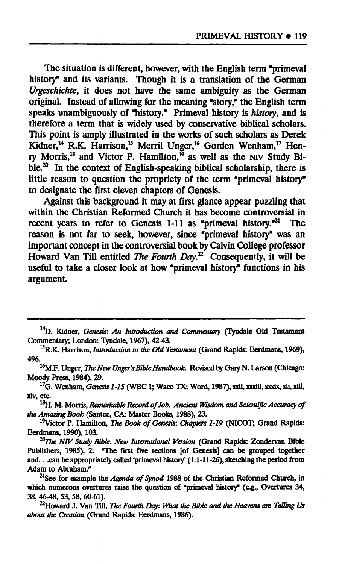**The situation is different, however, with the English term "primeval history" and its variants. Though it is a translation of the German**  *Urgeschichte,* **it does not have the same ambiguity as the German original. Instead of allowing for the meaning "story," the English term speaks unambiguously of "history." Primeval history is** *history,* **and is therefore a term that is widely used by conservative biblical scholars. This point is amply illustrated in the works of such scholars as Derek Kidner,<sup>14</sup> R.K. Harrison,<sup>15</sup> Merril Unger,<sup>16</sup> Gorden Wenham,<sup>17</sup> Henry Morris,<sup>18</sup> and Victor P. Hamilton,<sup>19</sup> as well as the NIV Study Bible.<sup>20</sup> In the context of English-speaking biblical scholarship, there is little reason to question the propriety of the term "primeval history" to designate the first eleven chapters of Genesis.** 

**Against this background it may at first glance appear puzzling that within the Christian Reformed Church it has become controversial in recent years to refer to Genesis 1-11 as "primeval history."<sup>21</sup> The reason is not far to seek, however, since "primeval history" was an important concept in the controversial book by Calvin College professor Howard Van Till entitled** *The Fourth Day.<sup>71</sup>* **Consequently, it will be useful to take a closer look at how "primeval history" functions in his argument.** 

<sup>16</sup>M.F. Unger, *The New Unger's Bible Handbook*. Revised by Gary N. Larson (Chicago: **Moody Press, 1984), 29.** 

**<sup>17</sup>G. Wenham,** *Genesis 1-15* **(WBC1; Waco TX: Word, 1987), xxii, xxxiii, xxxix, xli, xlii, xlv, etc.** 

**<sup>18</sup>H. M. Morris,** *Remarkable Record of Job. Ancient Wisdom and Scientific Accuracy of the Amazing Book* **(Santee, CA· Master Books, 1988), 23.** 

**Victor P. Hamilton,** *The Book of Genesis: Chapters 1-19* **(NICOT; Grand Rapids: Eerdmans, 1990), 103.** 

*^The NIV Study Bible: New International Version* **(Grand Rapids: Zondervan Bible Publishers, 1985), 2: "The first five sections [of Genesis] can be grouped together and.. .can be appropriately called 'primeval history' (1:1-11-26), sketching the period from Adam to Abraham."** 

**<sup>21</sup>See for example** *the Agenda of Synod* **1988 of the Christian Reformed Church, in which numerous overtures raise the question of "primeval history\* (e.g., Overtures 34, 38, 46-48, 53, 58, 60-61).** 

**^Howard J. Van Till,** *The Fourth Day: What the Bible and the Heavens are Telling Us about the Creation* **(Grand Rapids: Eerdmans, 1986).** 

<sup>&</sup>lt;sup>14</sup>D. Kidner, *Genesis: An Introduction and Commentary* (Tyndale Old Testament **Commentary; London: Tendale, 1967), 42-43.** 

**<sup>15</sup>R.K. Harrison,** *Introduction to the Old Testament* **(Grand Rapids: Eerdmans, 1969), 496.**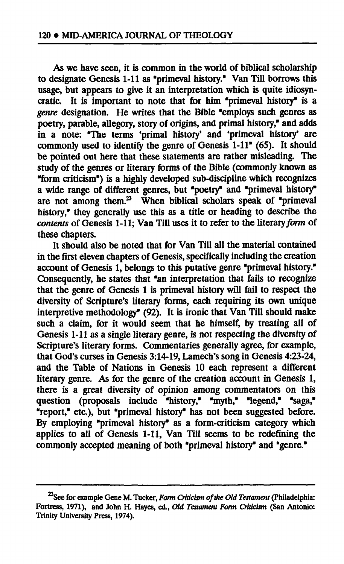**As we have seen, it is common in the world of biblical scholarship**  to designate Genesis 1-11 as "primeval history." Van Till borrows this **usage, but appears to give it an interpretation which is quite idiosyncratic. It is important to note that for him "primeval history" is a**  *genre* **designation. He writes that the Bible "employs such genres as poetry, parable, allegory, story of origins, and primal history," and adds in a note: "The terms 'primal history' and 'primeval history' are commonly used to identify the genre of Genesis 1-11" (65). It should be pointed out here that these statements are rather misleading. The study of the genres or literary forms of the Bible (commonly known as "form criticism") is a highly developed sub-discipline which recognizes a wide range of different genres, but "poetry" and "primeval history" are not among them.<sup>23</sup> When biblical scholars speak of "primeval history," they generally use this as a title or heading to describe the**  *contents* **of Genesis 1-11; Van Till uses it to refer to the literary** *form* **of these chapters.** 

**It should also be noted that for Van Till all the material contained in the first eleven chapters of Genesis, specifically including the creation account of Genesis 1, belongs to this putative genre "primeval history." Consequently, he states that "an interpretation that fails to recognize that the genre of Genesis 1 is primeval history will fail to respect the diversity of Scripture's literary forms, each requiring its own unique interpretive methodology" (92). It is ironic that Van Till should make such a claim, for it would seem that he himself, by treating all of Genesis 1-11 as a single literary genre, is not respecting the diversity of Scripture's literary forms. Commentaries generally agree, for example, that God's curses in Genesis 3:14-19, Lamech's song in Genesis 4:23-24, and the Table of Nations in Genesis 10 each represent a different literary genre. As for the genre of the creation account in Genesis 1, there is a great diversity of opinion among commentators on this question (proposals include "history," "myth," "legend," "saga," "report," etc.), but "primeval history" has not been suggested before. By employing "primeval history" as a form-criticism category which applies to all of Genesis 1-11, Van Till seems to be redefining the commonly accepted meaning of both "primeval history" and "genre."** 

**See for example Gene M. Tucker,** *Form Criticism of the Old Testament* **(Philadelphia: Fortress, 1971), and John H. Hayes, ed.,** *Old Testament Form Criticism* **(San Antonio: Trinity University Press, 1974).**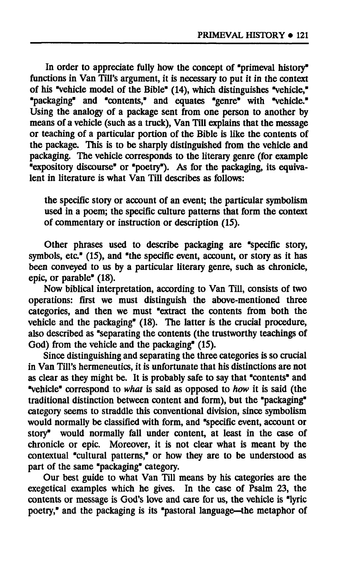**In order to appreciate fully how the concept of "primeval history" functions in Van Till's argument, it is necessary to put it in the context of his "vehicle model of the Bible" (14), which distinguishes "vehicle," "packaging" and "contents," and equates "genre" with "vehicle." Using the analogy of a package sent from one person to another by means of a vehicle (such as a truck), Van Till explains that the message or teaching of a particular portion of the Bible is like the contents of the package. This is to be sharply distinguished from the vehicle and packaging. The vehicle corresponds to the literary genre (for example "expository discourse" or "poetry"). As for the packaging, its equivalent in literature is what Van Till describes as follows:** 

**the specific story or account of an event; the particular symbolism used in a poem; the specific culture patterns that form the context of commentary or instruction or description (15).** 

**Other phrases used to describe packaging are "specific story, symbols, etc." (15), and "the specific event, account, or story as it has been conveyed to us by a particular literary genre, such as chronicle, epic, or parable" (18).** 

**Now biblical interpretation, according to Van Till, consists of two operations: first we must distinguish the above-mentioned three categories, and then we must "extract the contents from both the vehicle and the packaging" (18). The latter is the crucial procedure, also described as "separating the contents (the trustworthy teachings of God) from the vehicle and the packaging" (15).** 

**Since distinguishing and separating the three categories is so crucial in Van Till's hermeneutics, it is unfortunate that his distinctions are not as clear as they might be. It is probably safe to say that "contents" and "vehicle" correspond to** *what* **is said as opposed to** *how* **it is said (the traditional distinction between content and form), but the "packaging" category seems to straddle this conventional division, since symbolism would normally be classified with form, and "specific event, account or story" would normally fall under content, at least in the case of chronicle or epic. Moreover, it is not clear what is meant by the contextual "cultural patterns," or how they are to be understood as part of the same "packaging" category.** 

**Our best guide to what Van Till means by his categories are the exegetical examples which he gives. In the case of Psalm 23, the contents or message is God's love and care for us, the vehicle is "lyric poetry," and the packaging is its "pastoral language—the metaphor of**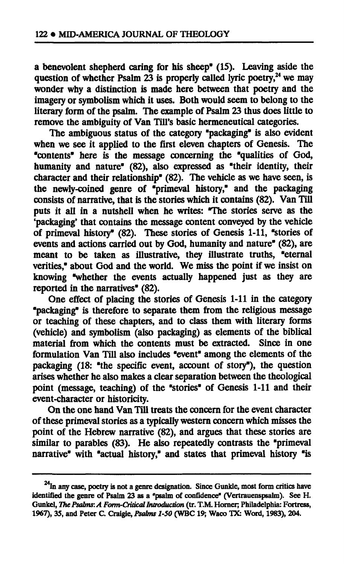**a benevolent shepherd caring for his sheep" (15). Leaving aside the question of whether Psalm 23 is properly called lyric poetry,<sup>24</sup> we may wonder why a distinction is made here between that poetry and the imagery or symbolism which it uses. Both would seem to belong to the literary form of the psalm. The example of Psalm 23 thus does little to remove the ambiguity of Van Till's basic hermeneutical categories.** 

**The ambiguous status of the category "packaging" is also evident**  when we see it applied to the first eleven chapters of Genesis. The **"contents" here is the message concerning the "qualities of God, humanity and nature" (82), also expressed as "their identity, their character and their relationship" (82). The vehicle as we have seen, is the newly-coined genre of "primeval history," and the packaging consists of narrative, that is the stories which it contains (82). Van Till puts it all in a nutshell when he writes: "The stories serve as the 'packaging' that contains the message content conveyed by the vehicle of primeval history" (82). These stories of Genesis 1-11, "stories of events and actions carried out by God, humanity and nature" (82), are meant to be taken as illustrative, they illustrate truths, "eternal verities," about God and the world. We miss the point if we insist on knowing "whether the events actually happened just as they are reported in the narratives" (82).** 

**One effect of placing the stories of Genesis 1-11 in the category "packaging" is therefore to separate them from the religious message or teaching of these chapters, and to class them with literary forms (vehicle) and symbolism (also packaging) as elements of the biblical material from which the contents must be extracted. Since in one formulation Van Till also includes "event" among the elements of the packaging (18: "the specific event, account of story"), the question arises whether he also makes a clear separation between the theological point (message, teaching) of the "stories" of Genesis 1-11 and their event-character or historicity.** 

**On the one hand Van Till treats the concern for the event character of these primeval stories as a typically western concern which misses the point of the Hebrew narrative (82), and argues that these stories are similar to parables (83). He also repeatedly contrasts the "primeval narrative" with "actual history," and states that primeval history "is** 

<sup>&</sup>lt;sup>24</sup>In any case, poetry is not a genre designation. Since Gunkle, most form critics have **identified the genre of Psalm 23 as a "psalm of confidence" (Vertrauenspsalm). See H. Gunkel,** *The Psalms: A Form-Critical Introduction* **(tr. T.M. Horner; Philadelphia: Fortress, 1967), 35, and Peter C. Craigie,** *Psalms 1-50* **(WBC 19; Waco TX: Word, 1983), 204.**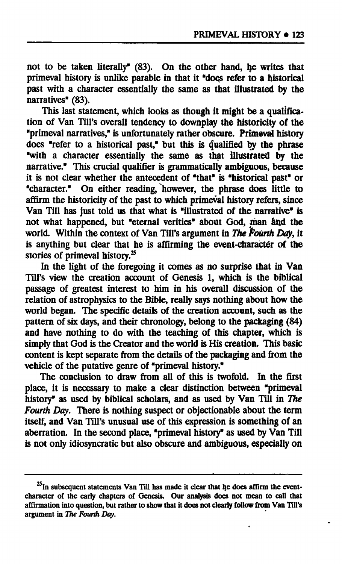not to be taken literally" (83). On the other hand, he writes that **primeval history is unlike parable in that it "does refer to a historical past with a character essentially the same as that illustrated by the narratives" (83).** 

**This last statement, which looks as though it might be a qualifica**tion of Van Till's overall tendency to downplay the historicity of the **"primeval narratives," is unfortunately rather obscure. Primeval history does "refer to a historical past," but this is qualified by the phrase "with a character essentially the same as that illustrated by the narrative." This crucial qualifier is grammatically ambiguous, because it is not clear whether the antecedent of "that" is "historical past" or "character." On either reading, however, the phrase does little to affirm the historicity of the past to which primeval history refers, since**  Van Till has just told us that what is "illustrated of the narrative" is **not what happened, but "eternal verities" about God, man and the**  world. Within the context of Van Till's argument in *The Fourth Day*, it is anything but clear that he is affirming the event-character of the **stories of primeval history.<sup>25</sup>**

**In the light of the foregoing it comes as no surprise that in Van Till's view the creation account of Genesis 1, which is the biblical passage of greatest interest to him in his overall discussion of the relation of astrophysics to the Bible, really says nothing about how the world began. The specific details of the creation account, such as the pattern of six days, and their chronology, belong to the packaging (84) and have nothing to do with the teaching of this chapter, which is simply that God is the Creator and the world is His creation. This basic content is kept separate from the details of the packaging and from the vehicle of the putative genre of "primeval history."** 

**The conclusion to draw from all of this is twofold. In the first place, it is necessary to make a clear distinction between "primeval history" as used by biblical scholars, and as used by Van Till in** *The Fourth Day.* **There is nothing suspect or objectionable about the term itself, and Van Till's unusual use of this expression is something of an aberration. In the second place, "primeval history" as used by Van Till is not only idiosyncratic but also obscure and ambiguous, especially on** 

<sup>&</sup>lt;sup>25</sup>In subsequent statements Van Till has made it clear that he does affirm the event**character of the early chapters of Genesis. Our analysis does not mean to call that affirmation into question, but rather to show that it does not clearly follow from Van Till's argument in** *The Fourth Day.*